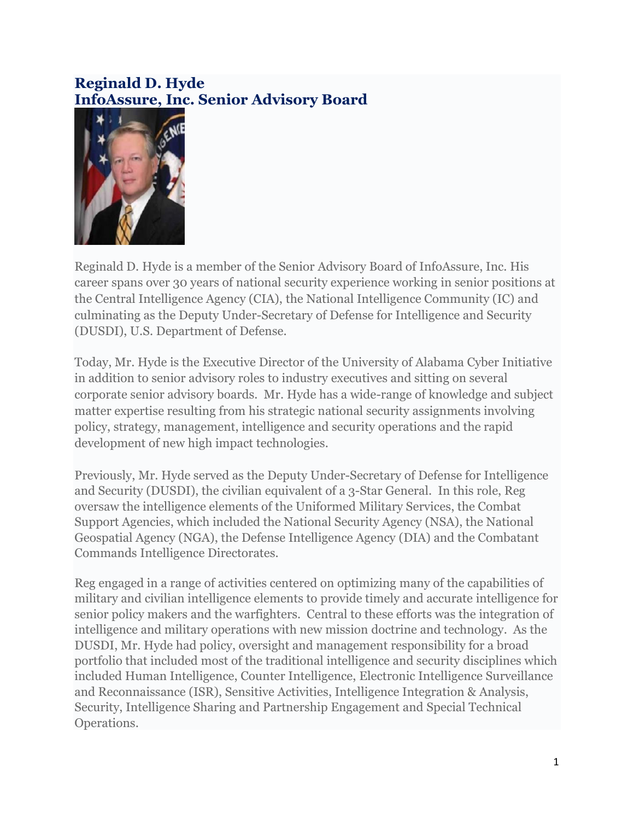## **Reginald D. Hyde InfoAssure, Inc. Senior Advisory Board**



Reginald D. Hyde is a member of the Senior Advisory Board of InfoAssure, Inc. His career spans over 30 years of national security experience working in senior positions at the Central Intelligence Agency (CIA), the National Intelligence Community (IC) and culminating as the Deputy Under-Secretary of Defense for Intelligence and Security (DUSDI), U.S. Department of Defense.

Today, Mr. Hyde is the Executive Director of the University of Alabama Cyber Initiative in addition to senior advisory roles to industry executives and sitting on several corporate senior advisory boards. Mr. Hyde has a wide-range of knowledge and subject matter expertise resulting from his strategic national security assignments involving policy, strategy, management, intelligence and security operations and the rapid development of new high impact technologies.

Previously, Mr. Hyde served as the Deputy Under-Secretary of Defense for Intelligence and Security (DUSDI), the civilian equivalent of a 3-Star General. In this role, Reg oversaw the intelligence elements of the Uniformed Military Services, the Combat Support Agencies, which included the National Security Agency (NSA), the National Geospatial Agency (NGA), the Defense Intelligence Agency (DIA) and the Combatant Commands Intelligence Directorates.

Reg engaged in a range of activities centered on optimizing many of the capabilities of military and civilian intelligence elements to provide timely and accurate intelligence for senior policy makers and the warfighters. Central to these efforts was the integration of intelligence and military operations with new mission doctrine and technology. As the DUSDI, Mr. Hyde had policy, oversight and management responsibility for a broad portfolio that included most of the traditional intelligence and security disciplines which included Human Intelligence, Counter Intelligence, Electronic Intelligence Surveillance and Reconnaissance (ISR), Sensitive Activities, Intelligence Integration & Analysis, Security, Intelligence Sharing and Partnership Engagement and Special Technical Operations.